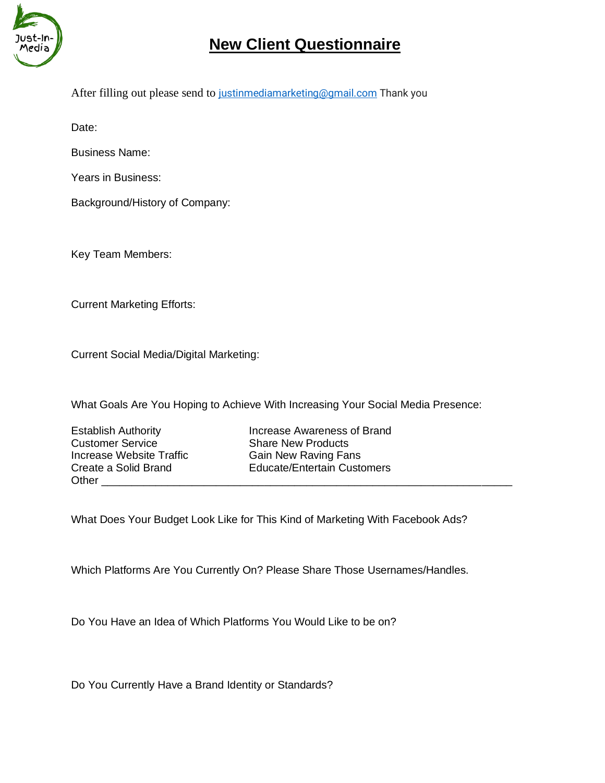

## **New Client Questionnaire**

After filling out please send to [justinmediamarketing@gmail.com](mailto:justinmediamarketing@gmail.com) Thank you

Date:

Business Name:

Years in Business:

Background/History of Company:

Key Team Members:

Current Marketing Efforts:

Current Social Media/Digital Marketing:

What Goals Are You Hoping to Achieve With Increasing Your Social Media Presence:

**Customer Service Share New Products** Increase Website Traffic Gain New Raving Fans Other **Latter** 

Establish Authority **Increase Awareness of Brand** Create a Solid Brand Educate/Entertain Customers

What Does Your Budget Look Like for This Kind of Marketing With Facebook Ads?

Which Platforms Are You Currently On? Please Share Those Usernames/Handles.

Do You Have an Idea of Which Platforms You Would Like to be on?

Do You Currently Have a Brand Identity or Standards?